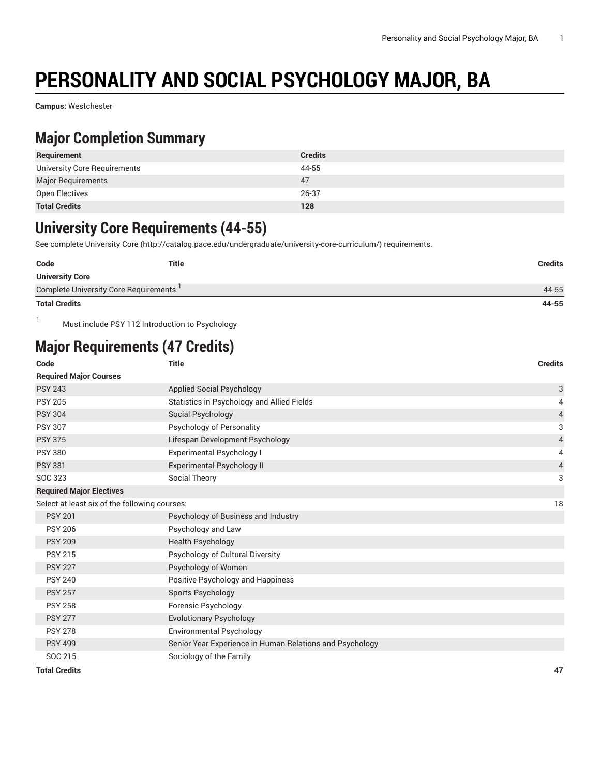# **PERSONALITY AND SOCIAL PSYCHOLOGY MAJOR, BA**

**Campus:** Westchester

#### **Major Completion Summary**

| Requirement                  | <b>Credits</b> |
|------------------------------|----------------|
| University Core Requirements | 44-55          |
| <b>Major Requirements</b>    | 47             |
| Open Electives               | 26-37          |
| <b>Total Credits</b>         | 128            |

### **University Core Requirements (44-55)**

See complete [University](http://catalog.pace.edu/undergraduate/university-core-curriculum/) Core (<http://catalog.pace.edu/undergraduate/university-core-curriculum/>) requirements.

| Code                                  | <b>Title</b> | <b>Credits</b> |
|---------------------------------------|--------------|----------------|
| <b>University Core</b>                |              |                |
| Complete University Core Requirements |              | 44-55          |
| <b>Total Credits</b>                  |              | 44-55          |

1 Must include PSY 112 Introduction to Psychology

## **Major Requirements (47 Credits)**

| Code                                          | <b>Title</b>                                             | <b>Credits</b> |
|-----------------------------------------------|----------------------------------------------------------|----------------|
| <b>Required Major Courses</b>                 |                                                          |                |
| <b>PSY 243</b>                                | Applied Social Psychology                                | 3              |
| <b>PSY 205</b>                                | Statistics in Psychology and Allied Fields               | 4              |
| <b>PSY 304</b>                                | Social Psychology                                        | $\overline{4}$ |
| <b>PSY 307</b>                                | Psychology of Personality                                | 3              |
| <b>PSY 375</b>                                | Lifespan Development Psychology                          | $\overline{4}$ |
| <b>PSY 380</b>                                | Experimental Psychology I                                | 4              |
| <b>PSY 381</b>                                | <b>Experimental Psychology II</b>                        | $\overline{4}$ |
| SOC 323                                       | Social Theory                                            | 3              |
| <b>Required Major Electives</b>               |                                                          |                |
| Select at least six of the following courses: |                                                          | 18             |
| <b>PSY 201</b>                                | Psychology of Business and Industry                      |                |
| <b>PSY 206</b>                                | Psychology and Law                                       |                |
| <b>PSY 209</b>                                | <b>Health Psychology</b>                                 |                |
| <b>PSY 215</b>                                | Psychology of Cultural Diversity                         |                |
| <b>PSY 227</b>                                | Psychology of Women                                      |                |
| <b>PSY 240</b>                                | Positive Psychology and Happiness                        |                |
| <b>PSY 257</b>                                | Sports Psychology                                        |                |
| <b>PSY 258</b>                                | Forensic Psychology                                      |                |
| <b>PSY 277</b>                                | <b>Evolutionary Psychology</b>                           |                |
| <b>PSY 278</b>                                | Environmental Psychology                                 |                |
| <b>PSY 499</b>                                | Senior Year Experience in Human Relations and Psychology |                |
| SOC 215                                       | Sociology of the Family                                  |                |
| <b>Total Credits</b>                          |                                                          | 47             |